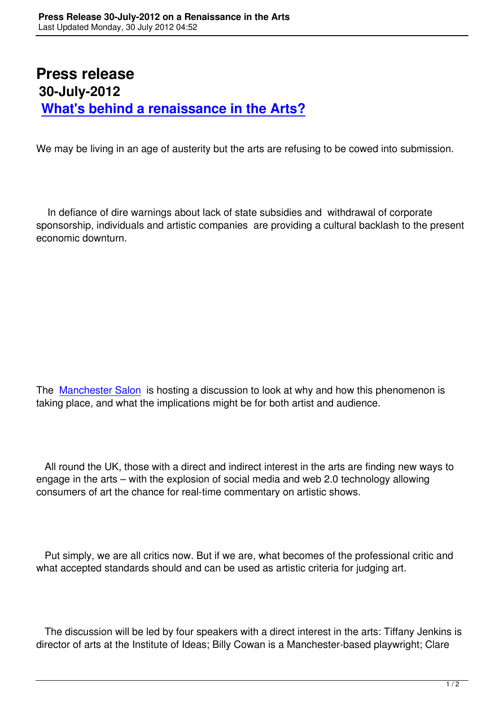## **Press release 30-July-2012 What's behind a renaissance in the Arts?**

[We may be living in an age of austerity but the arts are refus](http://www.manchestersalon.org.uk/new-renaissance-in-the-arts.html)ing to be cowed into submission.

 In defiance of dire warnings about lack of state subsidies and withdrawal of corporate sponsorship, individuals and artistic companies are providing a cultural backlash to the present economic downturn.

The Manchester Salon is hosting a discussion to look at why and how this phenomenon is taking place, and what the implications might be for both artist and audience.

 All round the UK, those with a direct and indirect interest in the arts are finding new ways to engage in the arts – with the explosion of social media and web 2.0 technology allowing consumers of art the chance for real-time commentary on artistic shows.

 Put simply, we are all critics now. But if we are, what becomes of the professional critic and what accepted standards should and can be used as artistic criteria for judging art.

 The discussion will be led by four speakers with a direct interest in the arts: Tiffany Jenkins is director of arts at the Institute of Ideas; Billy Cowan is a Manchester-based playwright; Clare